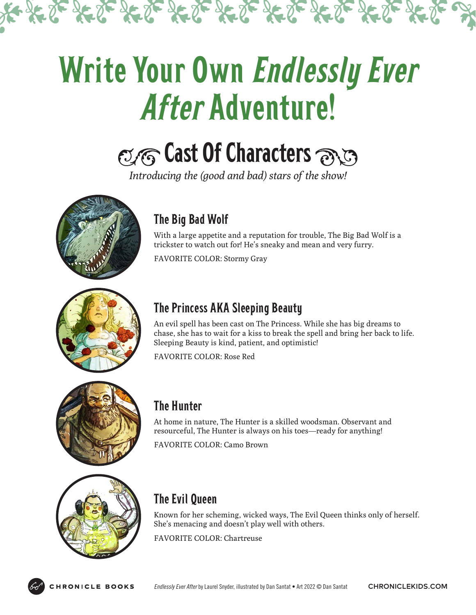# Write Your Own Endlessly Ever After Adventure!

 $250 - 250 = 250 = 250 = 250 = 250 = 250$ 

### $\alpha$  Cast Of Characters  $\alpha$

*Introducing the (good and bad) stars of the show!*





### The Big Bad Wolf

With a large appetite and a reputation for trouble, The Big Bad Wolf is a trickster to watch out for! He's sneaky and mean and very furry.

FAVORITE COLOR: Stormy Gray

### The Princess AKA Sleeping Beauty

An evil spell has been cast on The Princess. While she has big dreams to chase, she has to wait for a kiss to break the spell and bring her back to life. Sleeping Beauty is kind, patient, and optimistic!

FAVORITE COLOR: Rose Red



### The Hunter

At home in nature, The Hunter is a skilled woodsman. Observant and resourceful, The Hunter is always on his toes—ready for anything!

FAVORITE COLOR: Camo Brown



### The Evil Queen

Known for her scheming, wicked ways, The Evil Queen thinks only of herself. She's menacing and doesn't play well with others.

FAVORITE COLOR: Chartreuse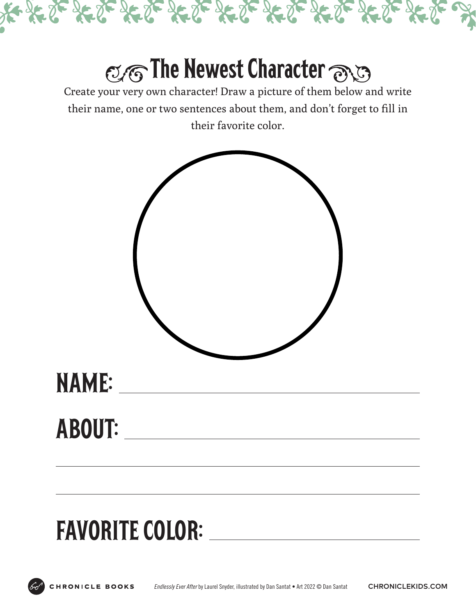

### **The Newest Character**

Create your very own character! Draw a picture of them below and write their name, one or two sentences about them, and don't forget to fill in their favorite color.



### ABOUT:

## FAVORITE COLOR: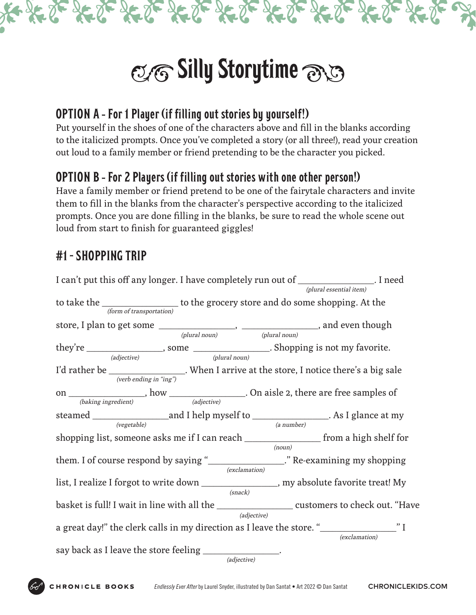

 $\infty$  Silly Storytime  $\infty$ 

#### OPTION A - For 1 Player (if filling out stories by yourself!)

Put yourself in the shoes of one of the characters above and fill in the blanks according to the italicized prompts. Once you've completed a story (or all three!), read your creation out loud to a family member or friend pretending to be the character you picked.

#### OPTION B - For 2 Players (if filling out stories with one other person!)

Have a family member or friend pretend to be one of the fairytale characters and invite them to fill in the blanks from the character's perspective according to the italicized prompts. Once you are done filling in the blanks, be sure to read the whole scene out loud from start to finish for guaranteed giggles!

### #1 - SHOPPING TRIP

I can't put this off any longer. I have completely run out of \_\_\_\_\_\_\_\_\_\_\_\_\_\_\_\_\_\_\_. I need to take the \_\_\_\_\_\_\_\_\_\_\_\_\_\_\_\_\_\_\_ to the grocery store and do some shopping. At the store, I plan to get some \_\_\_\_\_\_\_\_\_\_\_\_\_\_\_\_\_\_\_, \_\_\_\_\_\_\_\_\_\_\_\_\_\_\_\_\_\_\_, and even though they're \_\_\_\_\_\_\_\_\_\_\_\_\_\_\_\_\_\_\_, some \_\_\_\_\_\_\_\_\_\_\_\_\_\_\_\_\_\_\_. Shopping is not my favorite. I'd rather be \_\_\_\_\_\_\_\_\_\_\_\_\_\_\_\_\_. When I arrive at the store, I notice there's a big sale on \_\_\_\_\_\_\_\_\_\_\_\_\_\_\_\_\_\_\_, how \_\_\_\_\_\_\_\_\_\_\_\_\_\_\_\_\_\_\_. On aisle 2, there are free samples of steamed \_\_\_\_\_\_\_\_\_\_\_\_\_\_\_\_\_\_\_and I help myself to \_\_\_\_\_\_\_\_\_\_\_\_\_\_\_\_\_\_\_. As I glance at my shopping list, someone asks me if I can reach \_\_\_\_\_\_\_\_\_\_\_\_\_\_\_\_\_\_\_ from a high shelf for them. I of course respond by saying "\_\_\_\_\_\_\_\_\_\_\_\_\_\_\_\_\_\_\_." Re-examining my shopping list, I realize I forgot to write down \_\_\_\_\_\_\_\_\_\_\_\_\_\_\_\_\_\_\_, my absolute favorite treat! My basket is full! I wait in line with all the \_\_\_\_\_\_\_\_\_\_\_\_\_\_\_\_\_\_\_ customers to check out. "Have a great day!" the clerk calls in my direction as I leave the store. "\_\_\_\_\_\_\_\_\_\_\_\_\_\_\_\_\_\_\_\_\_" I say back as I leave the store feeling \_\_\_\_\_\_\_\_\_\_\_\_\_\_\_\_\_\_\_. (plural essential item) (form of transportation) (verb ending in "ing") (plural noun) (plural noun)(adjective) (plural noun) (baking ingredient) (adjective) (vegetable) (a number) (exclamation) (noun) (exclamation) (snack) (adjective) (adjective)